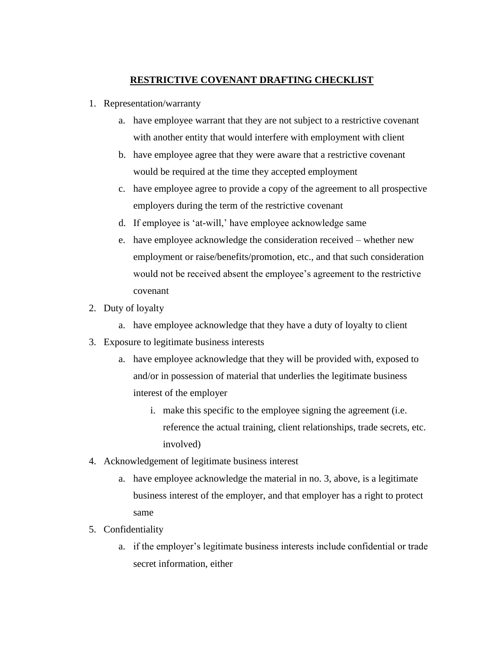## **RESTRICTIVE COVENANT DRAFTING CHECKLIST**

- 1. Representation/warranty
	- a. have employee warrant that they are not subject to a restrictive covenant with another entity that would interfere with employment with client
	- b. have employee agree that they were aware that a restrictive covenant would be required at the time they accepted employment
	- c. have employee agree to provide a copy of the agreement to all prospective employers during the term of the restrictive covenant
	- d. If employee is 'at-will,' have employee acknowledge same
	- e. have employee acknowledge the consideration received whether new employment or raise/benefits/promotion, etc., and that such consideration would not be received absent the employee's agreement to the restrictive covenant
- 2. Duty of loyalty
	- a. have employee acknowledge that they have a duty of loyalty to client
- 3. Exposure to legitimate business interests
	- a. have employee acknowledge that they will be provided with, exposed to and/or in possession of material that underlies the legitimate business interest of the employer
		- i. make this specific to the employee signing the agreement (i.e. reference the actual training, client relationships, trade secrets, etc. involved)
- 4. Acknowledgement of legitimate business interest
	- a. have employee acknowledge the material in no. 3, above, is a legitimate business interest of the employer, and that employer has a right to protect same
- 5. Confidentiality
	- a. if the employer's legitimate business interests include confidential or trade secret information, either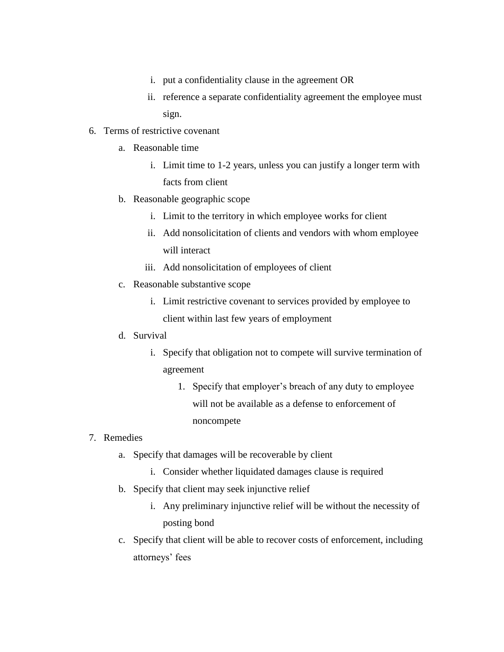- i. put a confidentiality clause in the agreement OR
- ii. reference a separate confidentiality agreement the employee must sign.

## 6. Terms of restrictive covenant

- a. Reasonable time
	- i. Limit time to 1-2 years, unless you can justify a longer term with facts from client
- b. Reasonable geographic scope
	- i. Limit to the territory in which employee works for client
	- ii. Add nonsolicitation of clients and vendors with whom employee will interact
	- iii. Add nonsolicitation of employees of client
- c. Reasonable substantive scope
	- i. Limit restrictive covenant to services provided by employee to client within last few years of employment

## d. Survival

- i. Specify that obligation not to compete will survive termination of agreement
	- 1. Specify that employer's breach of any duty to employee will not be available as a defense to enforcement of noncompete

## 7. Remedies

- a. Specify that damages will be recoverable by client
	- i. Consider whether liquidated damages clause is required
- b. Specify that client may seek injunctive relief
	- i. Any preliminary injunctive relief will be without the necessity of posting bond
- c. Specify that client will be able to recover costs of enforcement, including attorneys' fees